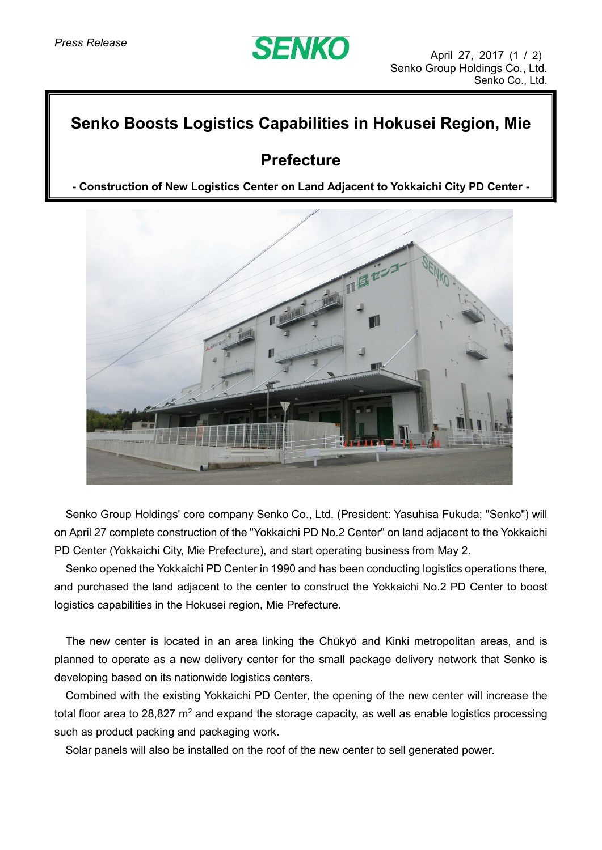# **SENKO**

### **Senko Boosts Logistics Capabilities in Hokusei Region, Mie**

## **Prefecture**

**- Construction of New Logistics Center on Land Adjacent to Yokkaichi City PD Center -**



Senko Group Holdings' core company Senko Co., Ltd. (President: Yasuhisa Fukuda; "Senko") will on April 27 complete construction of the "Yokkaichi PD No.2 Center" on land adjacent to the Yokkaichi PD Center (Yokkaichi City, Mie Prefecture), and start operating business from May 2.

Senko opened the Yokkaichi PD Center in 1990 and has been conducting logistics operations there, and purchased the land adjacent to the center to construct the Yokkaichi No.2 PD Center to boost logistics capabilities in the Hokusei region, Mie Prefecture.

The new center is located in an area linking the Chūkyō and Kinki metropolitan areas, and is planned to operate as a new delivery center for the small package delivery network that Senko is developing based on its nationwide logistics centers.

Combined with the existing Yokkaichi PD Center, the opening of the new center will increase the total floor area to 28,827  $m^2$  and expand the storage capacity, as well as enable logistics processing such as product packing and packaging work.

Solar panels will also be installed on the roof of the new center to sell generated power.